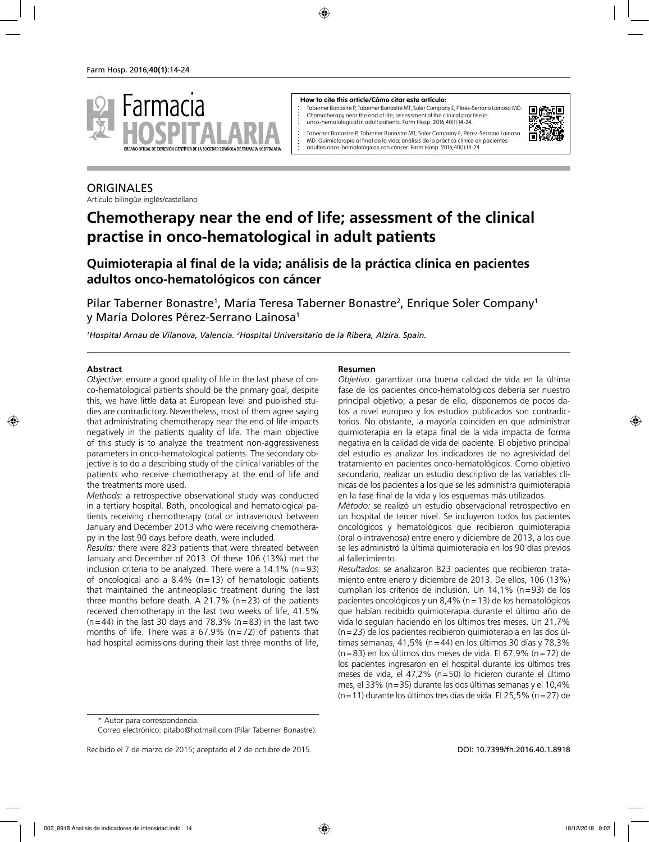

#### **How to cite this article/Cómo citar este artículo:**

Taberner Bonastre P, Taberner Bonastre MT, Soler Company E, Pérez-Serrano Lainosa MD. Chemotherapy near the end of life; assessment of the clinical practise in onco-hematological in adult patients. Farm Hosp. 2016;40(1):14-24.



Taberner Bonastre P, Taberner Bonastre MT, Soler Company E, Pérez-Serrano Lainosa MD. Quimioterapia al final de la vida; análisis de la práctica clínica en pacientes adultos onco-hematológicos con cáncer. Farm Hosp. 2016;40(1):14-24.

# **ORIGINALES**

Artículo bilingüe inglés/castellano

# **Chemotherapy near the end of life; assessment of the clinical practise in onco-hematological in adult patients**

# **Quimioterapia al final de la vida; análisis de la práctica clínica en pacientes adultos onco-hematológicos con cáncer**

Pilar Taberner Bonastre<sup>1</sup>, María Teresa Taberner Bonastre<sup>2</sup>, Enrique Soler Company<sup>1</sup> y María Dolores Pérez-Serrano Lainosa1

<sup>1</sup>Hospital Arnau de Vilanova, Valencia. <sup>2</sup>Hospital Universitario de la Ribera, Alzira. Spain.

#### **Abstract**

*Objective:* ensure a good quality of life in the last phase of onco-hematological patients should be the primary goal, despite this, we have little data at European level and published studies are contradictory. Nevertheless, most of them agree saying that administrating chemotherapy near the end of life impacts negatively in the patients quality of life. The main objective of this study is to analyze the treatment non-aggressiveness parameters in onco-hematological patients. The secondary objective is to do a describing study of the clinical variables of the patients who receive chemotherapy at the end of life and the treatments more used.

*Methods:* a retrospective observational study was conducted in a tertiary hospital. Both, oncological and hematological patients receiving chemotherapy (oral or intravenous) between January and December 2013 who were receiving chemotherapy in the last 90 days before death, were included.

*Results:* there were 823 patients that were threated between January and December of 2013. Of these 106 (13%) met the inclusion criteria to be analyzed. There were a  $14.1\%$  (n=93) of oncological and a  $8.4\%$  (n=13) of hematologic patients that maintained the antineoplasic treatment during the last three months before death. A 21.7% (n=23) of the patients received chemotherapy in the last two weeks of life, 41.5%  $(n=44)$  in the last 30 days and 78.3%  $(n=83)$  in the last two months of life. There was a 67.9% (n=72) of patients that had hospital admissions during their last three months of life,

#### **Resumen**

*Objetivo:* garantizar una buena calidad de vida en la última fase de los pacientes onco-hematológicos debería ser nuestro principal objetivo; a pesar de ello, disponemos de pocos datos a nivel europeo y los estudios publicados son contradictorios. No obstante, la mayoría coinciden en que administrar quimioterapia en la etapa final de la vida impacta de forma negativa en la calidad de vida del paciente. El objetivo principal del estudio es analizar los indicadores de no agresividad del tratamiento en pacientes onco-hematológicos. Como objetivo secundario, realizar un estudio descriptivo de las variables clínicas de los pacientes a los que se les administra quimioterapia en la fase final de la vida y los esquemas más utilizados.

*Método:* se realizó un estudio observacional retrospectivo en un hospital de tercer nivel. Se incluyeron todos los pacientes oncológicos y hematológicos que recibieron quimioterapia (oral o intravenosa) entre enero y diciembre de 2013, a los que se les administró la última quimioterapia en los 90 días previos al fallecimiento.

*Resultados:* se analizaron 823 pacientes que recibieron tratamiento entre enero y diciembre de 2013. De ellos, 106 (13%) cumplían los criterios de inclusión. Un 14,1% (n=93) de los pacientes oncológicos y un 8,4% (n=13) de los hematológicos que habían recibido quimioterapia durante el último año de vida lo seguían haciendo en los últimos tres meses. Un 21,7% (n=23) de los pacientes recibieron quimioterapia en las dos últimas semanas, 41,5% (n=44) en los últimos 30 días y 78,3% (n=83) en los últimos dos meses de vida. El 67,9% (n=72) de los pacientes ingresaron en el hospital durante los últimos tres meses de vida, el 47,2% (n=50) lo hicieron durante el último mes, el 33% (n=35) durante las dos últimas semanas y el 10,4% (n=11) durante los últimos tres días de vida. El 25,5% (n=27) de

Recibido el 7 de marzo de 2015; aceptado el 2 de octubre de 2015. DOI: 10.7399/fh.2016.40.1.8918

<sup>\*</sup> Autor para correspondencia.

Correo electrónico: pitabo@hotmail.com (Pilar Taberner Bonastre).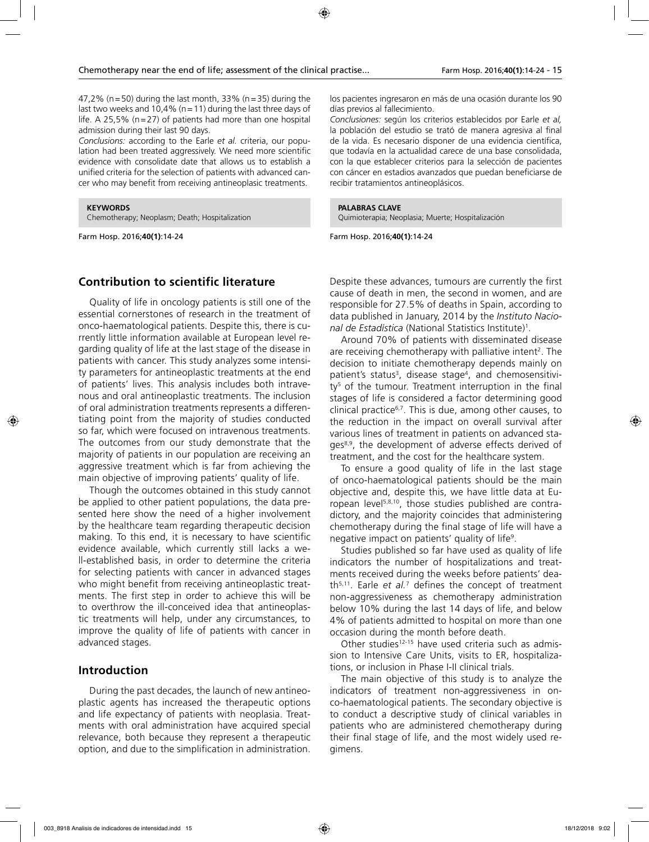47,2% ( $n=50$ ) during the last month, 33% ( $n=35$ ) during the last two weeks and 10,4% ( $n=11$ ) during the last three days of life. A 25,5% (n=27) of patients had more than one hospital admission during their last 90 days.

*Conclusions:* according to the Earle *et al.* criteria, our population had been treated aggressively. We need more scientific evidence with consolidate date that allows us to establish a unified criteria for the selection of patients with advanced cancer who may benefit from receiving antineoplasic treatments.

#### **KEYWORDS**

Chemotherapy; Neoplasm; Death; Hospitalization

Farm Hosp. 2016;**40(1)**:14-24

### **Contribution to scientific literature**

Quality of life in oncology patients is still one of the essential cornerstones of research in the treatment of onco-haematological patients. Despite this, there is currently little information available at European level regarding quality of life at the last stage of the disease in patients with cancer. This study analyzes some intensity parameters for antineoplastic treatments at the end of patients' lives. This analysis includes both intravenous and oral antineoplastic treatments. The inclusion of oral administration treatments represents a differentiating point from the majority of studies conducted so far, which were focused on intravenous treatments. The outcomes from our study demonstrate that the majority of patients in our population are receiving an aggressive treatment which is far from achieving the main objective of improving patients' quality of life.

Though the outcomes obtained in this study cannot be applied to other patient populations, the data presented here show the need of a higher involvement by the healthcare team regarding therapeutic decision making. To this end, it is necessary to have scientific evidence available, which currently still lacks a well-established basis, in order to determine the criteria for selecting patients with cancer in advanced stages who might benefit from receiving antineoplastic treatments. The first step in order to achieve this will be to overthrow the ill-conceived idea that antineoplastic treatments will help, under any circumstances, to improve the quality of life of patients with cancer in advanced stages.

### **Introduction**

During the past decades, the launch of new antineoplastic agents has increased the therapeutic options and life expectancy of patients with neoplasia. Treatments with oral administration have acquired special relevance, both because they represent a therapeutic option, and due to the simplification in administration.

los pacientes ingresaron en más de una ocasión durante los 90 días previos al fallecimiento.

*Conclusiones:* según los criterios establecidos por Earle *et al,* la población del estudio se trató de manera agresiva al final de la vida. Es necesario disponer de una evidencia científica, que todavía en la actualidad carece de una base consolidada, con la que establecer criterios para la selección de pacientes con cáncer en estadios avanzados que puedan beneficiarse de recibir tratamientos antineoplásicos.

#### **PALABRAS CLAVE**

Quimioterapia; Neoplasia; Muerte; Hospitalización

Farm Hosp. 2016;**40(1)**:14-24

Despite these advances, tumours are currently the first cause of death in men, the second in women, and are responsible for 27.5% of deaths in Spain, according to data published in January, 2014 by the *Instituto Nacional de Estadística* (National Statistics Institute)<sup>1</sup>.

Around 70% of patients with disseminated disease are receiving chemotherapy with palliative intent<sup>2</sup>. The decision to initiate chemotherapy depends mainly on patient's status<sup>3</sup>, disease stage<sup>4</sup>, and chemosensitivity5 of the tumour. Treatment interruption in the final stages of life is considered a factor determining good clinical practice<sup>6,7</sup>. This is due, among other causes, to the reduction in the impact on overall survival after various lines of treatment in patients on advanced stages<sup>8,9</sup>, the development of adverse effects derived of treatment, and the cost for the healthcare system.

To ensure a good quality of life in the last stage of onco-haematological patients should be the main objective and, despite this, we have little data at European level<sup>5,8,10</sup>, those studies published are contradictory, and the majority coincides that administering chemotherapy during the final stage of life will have a negative impact on patients' quality of life<sup>9</sup>.

Studies published so far have used as quality of life indicators the number of hospitalizations and treatments received during the weeks before patients' death5,11. Earle *et al.*<sup>7</sup> defines the concept of treatment non-aggressiveness as chemotherapy administration below 10% during the last 14 days of life, and below 4% of patients admitted to hospital on more than one occasion during the month before death.

Other studies<sup>12-15</sup> have used criteria such as admission to Intensive Care Units, visits to ER, hospitalizations, or inclusion in Phase I-II clinical trials.

The main objective of this study is to analyze the indicators of treatment non-aggressiveness in onco-haematological patients. The secondary objective is to conduct a descriptive study of clinical variables in patients who are administered chemotherapy during their final stage of life, and the most widely used regimens.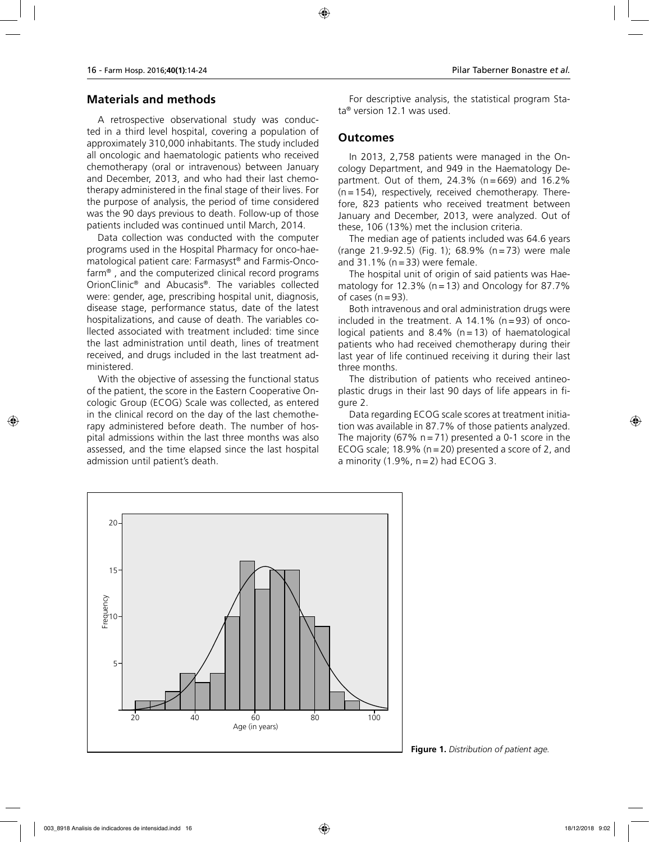# **Materials and methods**

A retrospective observational study was conducted in a third level hospital, covering a population of approximately 310,000 inhabitants. The study included all oncologic and haematologic patients who received chemotherapy (oral or intravenous) between January and December, 2013, and who had their last chemotherapy administered in the final stage of their lives. For the purpose of analysis, the period of time considered was the 90 days previous to death. Follow-up of those patients included was continued until March, 2014.

Data collection was conducted with the computer programs used in the Hospital Pharmacy for onco-haematological patient care: Farmasyst® and Farmis-Oncofarm® , and the computerized clinical record programs OrionClinic® and Abucasis®. The variables collected were: gender, age, prescribing hospital unit, diagnosis, disease stage, performance status, date of the latest hospitalizations, and cause of death. The variables collected associated with treatment included: time since the last administration until death, lines of treatment received, and drugs included in the last treatment administered.

With the objective of assessing the functional status of the patient, the score in the Eastern Cooperative Oncologic Group (ECOG) Scale was collected, as entered in the clinical record on the day of the last chemotherapy administered before death. The number of hospital admissions within the last three months was also assessed, and the time elapsed since the last hospital admission until patient's death.

For descriptive analysis, the statistical program Stata® version 12.1 was used.

# **Outcomes**

In 2013, 2,758 patients were managed in the Oncology Department, and 949 in the Haematology Department. Out of them, 24.3% (n=669) and 16.2% (n=154), respectively, received chemotherapy. Therefore, 823 patients who received treatment between January and December, 2013, were analyzed. Out of these, 106 (13%) met the inclusion criteria.

The median age of patients included was 64.6 years (range 21.9-92.5) (Fig. 1); 68.9% (n=73) were male and  $31.1\%$  (n = 33) were female.

The hospital unit of origin of said patients was Haematology for 12.3% ( $n = 13$ ) and Oncology for 87.7% of cases  $(n=93)$ .

Both intravenous and oral administration drugs were included in the treatment. A  $14.1\%$  (n=93) of oncological patients and  $8.4\%$  (n=13) of haematological patients who had received chemotherapy during their last year of life continued receiving it during their last three months.

The distribution of patients who received antineoplastic drugs in their last 90 days of life appears in figure 2.

Data regarding ECOG scale scores at treatment initiation was available in 87.7% of those patients analyzed. The majority (67%  $n = 71$ ) presented a 0-1 score in the ECOG scale; 18.9% (n=20) presented a score of 2, and a minority  $(1.9\%$ ,  $n=2)$  had ECOG 3.



**Figure 1.** *Distribution of patient age.*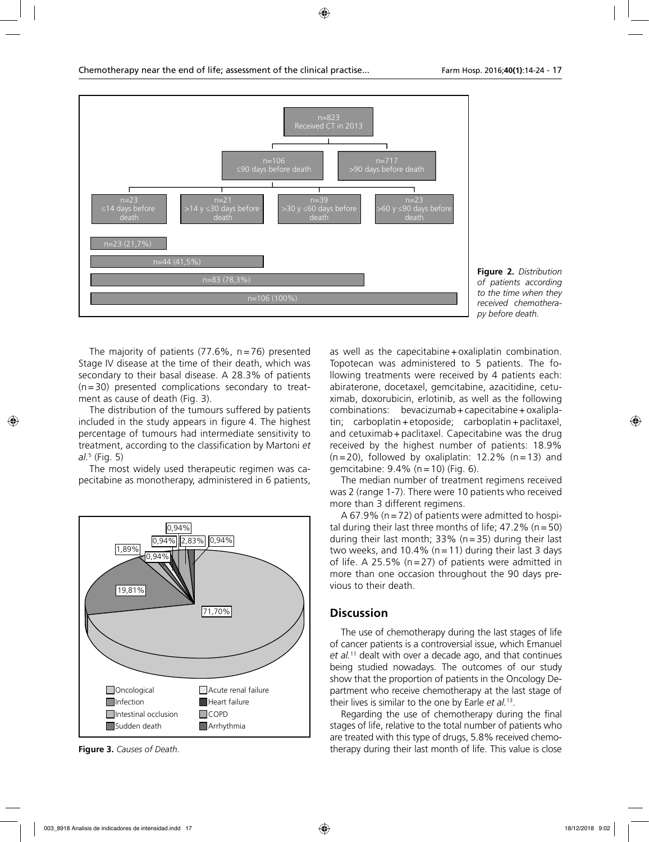

**Figure 2.** *Distribution of patients according to the time when they received chemotherapy before death.*

The majority of patients (77.6%,  $n=76$ ) presented Stage IV disease at the time of their death, which was secondary to their basal disease. A 28.3% of patients (n=30) presented complications secondary to treatment as cause of death (Fig. 3).

The distribution of the tumours suffered by patients included in the study appears in figure 4. The highest percentage of tumours had intermediate sensitivity to treatment, according to the classification by Martoni *et al.*<sup>5</sup> (Fig. 5)

The most widely used therapeutic regimen was capecitabine as monotherapy, administered in 6 patients,



**Figure 3.** *Causes of Death.*

as well as the capecitabine+oxaliplatin combination. Topotecan was administered to 5 patients. The following treatments were received by 4 patients each: abiraterone, docetaxel, gemcitabine, azacitidine, cetuximab, doxorubicin, erlotinib, as well as the following combinations: bevacizumab+capecitabine+oxaliplatin; carboplatin+etoposide; carboplatin+paclitaxel, and cetuximab+paclitaxel. Capecitabine was the drug received by the highest number of patients: 18.9%  $(n=20)$ , followed by oxaliplatin: 12.2%  $(n=13)$  and gemcitabine: 9.4% (n=10) (Fig. 6).

The median number of treatment regimens received was 2 (range 1-7). There were 10 patients who received more than 3 different regimens.

A 67.9% ( $n = 72$ ) of patients were admitted to hospital during their last three months of life;  $47.2\%$  (n = 50) during their last month;  $33\%$  (n=35) during their last two weeks, and 10.4% ( $n=11$ ) during their last 3 days of life. A 25.5% (n=27) of patients were admitted in more than one occasion throughout the 90 days previous to their death.

# **Discussion**

The use of chemotherapy during the last stages of life of cancer patients is a controversial issue, which Emanuel *et al.*11 dealt with over a decade ago, and that continues being studied nowadays. The outcomes of our study show that the proportion of patients in the Oncology Department who receive chemotherapy at the last stage of their lives is similar to the one by Earle *et al.*13.

Regarding the use of chemotherapy during the final stages of life, relative to the total number of patients who are treated with this type of drugs, 5.8% received chemotherapy during their last month of life. This value is close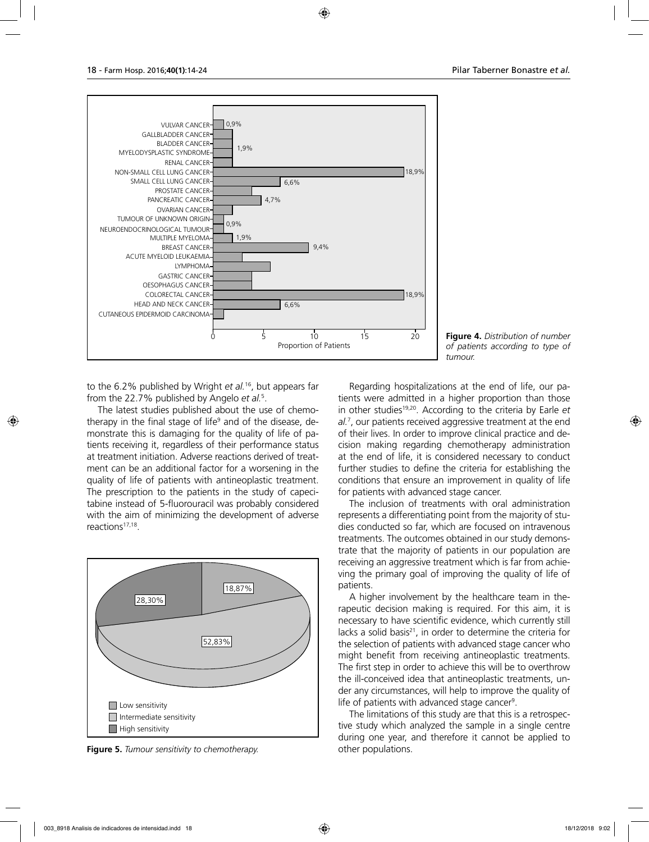

15 20 **Figure 4.** *Distribution of number of patients according to type of tumour.*

to the 6.2% published by Wright *et al.*16, but appears far from the 22.7% published by Angelo *et al.*<sup>5</sup> .

The latest studies published about the use of chemotherapy in the final stage of life<sup>9</sup> and of the disease, demonstrate this is damaging for the quality of life of patients receiving it, regardless of their performance status at treatment initiation. Adverse reactions derived of treatment can be an additional factor for a worsening in the quality of life of patients with antineoplastic treatment. The prescription to the patients in the study of capecitabine instead of 5-fluorouracil was probably considered with the aim of minimizing the development of adverse reactions<sup>17,18</sup>.



**Figure 5.** *Tumour sensitivity to chemotherapy.*

Regarding hospitalizations at the end of life, our patients were admitted in a higher proportion than those in other studies19,20. According to the criteria by Earle *et al.*<sup>7</sup> , our patients received aggressive treatment at the end of their lives. In order to improve clinical practice and decision making regarding chemotherapy administration at the end of life, it is considered necessary to conduct further studies to define the criteria for establishing the conditions that ensure an improvement in quality of life for patients with advanced stage cancer.

The inclusion of treatments with oral administration represents a differentiating point from the majority of studies conducted so far, which are focused on intravenous treatments. The outcomes obtained in our study demonstrate that the majority of patients in our population are receiving an aggressive treatment which is far from achieving the primary goal of improving the quality of life of patients.

A higher involvement by the healthcare team in therapeutic decision making is required. For this aim, it is necessary to have scientific evidence, which currently still lacks a solid basis $21$ , in order to determine the criteria for the selection of patients with advanced stage cancer who might benefit from receiving antineoplastic treatments. The first step in order to achieve this will be to overthrow the ill-conceived idea that antineoplastic treatments, under any circumstances, will help to improve the quality of life of patients with advanced stage cancer<sup>9</sup>.

The limitations of this study are that this is a retrospective study which analyzed the sample in a single centre during one year, and therefore it cannot be applied to other populations.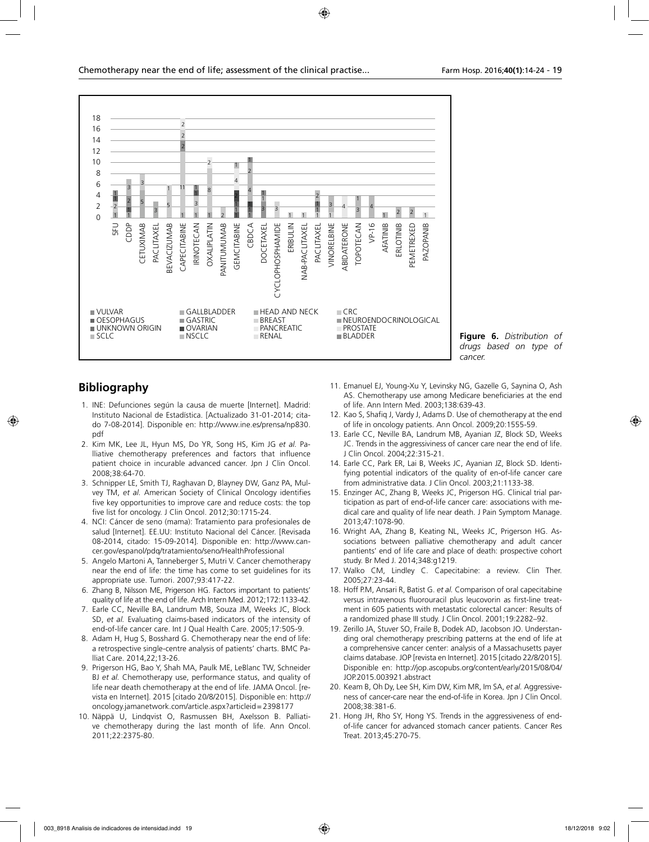

**Figure 6.** *Distribution of drugs based on type of cancer.*

# **Bibliography**

- 1. INE: Defunciones según la causa de muerte [Internet]. Madrid: Instituto Nacional de Estadística. [Actualizado 31-01-2014; citado 7-08-2014]. Disponible en: http://www.ine.es/prensa/np830. pdf
- 2. Kim MK, Lee JL, Hyun MS, Do YR, Song HS, Kim JG *et al.* Palliative chemotherapy preferences and factors that influence patient choice in incurable advanced cancer. Jpn J Clin Oncol. 2008;38:64-70.
- 3. Schnipper LE, Smith TJ, Raghavan D, Blayney DW, Ganz PA, Mulvey TM, *et al.* American Society of Clinical Oncology identifies five key opportunities to improve care and reduce costs: the top five list for oncology. J Clin Oncol. 2012;30:1715-24.
- 4. NCI: Cáncer de seno (mama): Tratamiento para profesionales de salud [Internet]. EE.UU: Instituto Nacional del Cáncer. [Revisada 08-2014, citado: 15-09-2014]. Disponible en: http://www.cancer.gov/espanol/pdq/tratamiento/seno/HealthProfessional
- 5. Angelo Martoni A, Tanneberger S, Mutri V. Cancer chemotherapy near the end of life: the time has come to set guidelines for its appropriate use. Tumori. 2007;93:417-22.
- 6. Zhang B, Nilsson ME, Prigerson HG. Factors important to patients' quality of life at the end of life. Arch Intern Med. 2012;172:1133-42.
- 7. Earle CC, Neville BA, Landrum MB, Souza JM, Weeks JC, Block SD, *et al.* Evaluating claims-based indicators of the intensity of end-of-life cancer care. Int J Qual Health Care. 2005;17:505-9.
- 8. Adam H, Hug S, Bosshard G. Chemotherapy near the end of life: a retrospective single-centre analysis of patients' charts. BMC Palliat Care. 2014,22;13-26.
- 9. Prigerson HG, Bao Y, Shah MA, Paulk ME, LeBlanc TW, Schneider BJ *et al.* Chemotherapy use, performance status, and quality of life near death chemotherapy at the end of life. JAMA Oncol. [revista en Internet]. 2015 [citado 20/8/2015]. Disponible en: http:// oncology.jamanetwork.com/article.aspx?articleid=2398177
- 10. Näppä U, Lindqvist O, Rasmussen BH, Axelsson B. Palliative chemotherapy during the last month of life. Ann Oncol. 2011;22:2375-80.
- 11. Emanuel EJ, Young-Xu Y, Levinsky NG, Gazelle G, Saynina O, Ash AS. Chemotherapy use among Medicare beneficiaries at the end of life. Ann Intern Med. 2003;138:639-43.
- 12. Kao S, Shafiq J, Vardy J, Adams D. Use of chemotherapy at the end of life in oncology patients. Ann Oncol. 2009;20:1555-59.
- 13. Earle CC, Neville BA, Landrum MB, Ayanian JZ, Block SD, Weeks JC. Trends in the aggressiviness of cancer care near the end of life. J Clin Oncol. 2004;22:315-21.
- 14. Earle CC, Park ER, Lai B, Weeks JC, Ayanian JZ, Block SD. Identifying potential indicators of the quality of en-of-life cancer care from administrative data. J Clin Oncol. 2003;21:1133-38.
- 15. Enzinger AC, Zhang B, Weeks JC, Prigerson HG. Clinical trial participation as part of end-of-life cancer care: associations with medical care and quality of life near death. J Pain Symptom Manage. 2013;47:1078-90.
- 16. Wright AA, Zhang B, Keating NL, Weeks JC, Prigerson HG. Associations between palliative chemotherapy and adult cancer pantients' end of life care and place of death: prospective cohort study. Br Med J. 2014;348:g1219.
- 17. Walko CM, Lindley C. Capecitabine: a review. Clin Ther. 2005;27:23-44.
- 18. Hoff P.M, Ansari R, Batist G. *et al.* Comparison of oral capecitabine versus intravenous fluorouracil plus leucovorin as first-line treatment in 605 patients with metastatic colorectal cancer: Results of a randomized phase III study. J Clin Oncol. 2001;19:2282–92.
- 19. Zerillo JA, Stuver SO, Fraile B, Dodek AD, Jacobson JO. Understanding oral chemotherapy prescribing patterns at the end of life at a comprehensive cancer center: analysis of a Massachusetts payer claims database. JOP [revista en Internet]. 2015 [citado 22/8/2015]. Disponible en: http://jop.ascopubs.org/content/early/2015/08/04/ JOP.2015.003921.abstract
- 20. Keam B, Oh Dy, Lee SH, Kim DW, Kim MR, Im SA, *et al.* Aggressiveness of cancer-care near the end-of-life in Korea. Jpn J Clin Oncol. 2008;38:381-6.
- 21. Hong JH, Rho SY, Hong YS. Trends in the aggressiveness of endof-life cancer for advanced stomach cancer patients. Cancer Res Treat. 2013;45:270-75.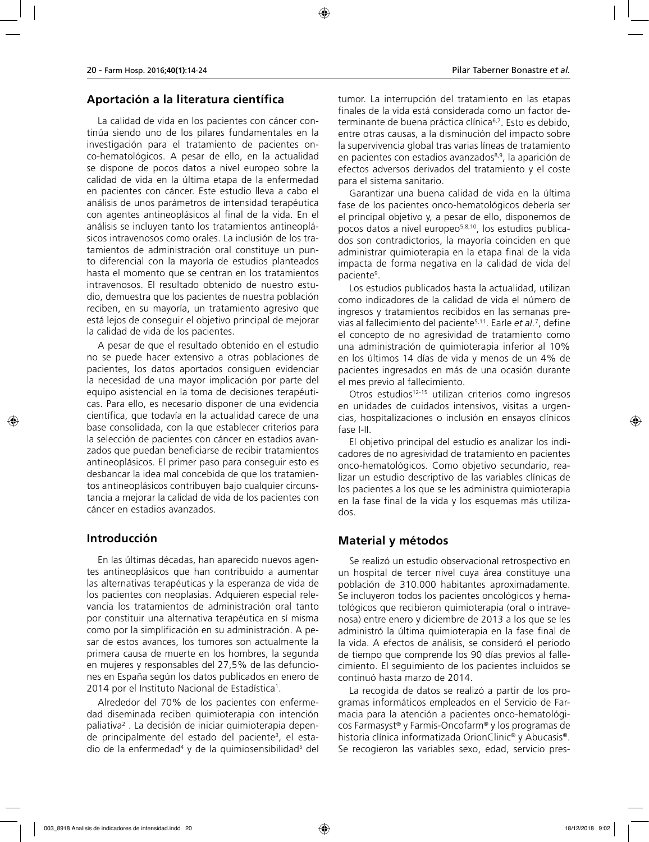### **Aportación a la literatura científica**

La calidad de vida en los pacientes con cáncer continúa siendo uno de los pilares fundamentales en la investigación para el tratamiento de pacientes onco-hematológicos. A pesar de ello, en la actualidad se dispone de pocos datos a nivel europeo sobre la calidad de vida en la última etapa de la enfermedad en pacientes con cáncer. Este estudio lleva a cabo el análisis de unos parámetros de intensidad terapéutica con agentes antineoplásicos al final de la vida. En el análisis se incluyen tanto los tratamientos antineoplásicos intravenosos como orales. La inclusión de los tratamientos de administración oral constituye un punto diferencial con la mayoría de estudios planteados hasta el momento que se centran en los tratamientos intravenosos. El resultado obtenido de nuestro estudio, demuestra que los pacientes de nuestra población reciben, en su mayoría, un tratamiento agresivo que está lejos de conseguir el objetivo principal de mejorar la calidad de vida de los pacientes.

A pesar de que el resultado obtenido en el estudio no se puede hacer extensivo a otras poblaciones de pacientes, los datos aportados consiguen evidenciar la necesidad de una mayor implicación por parte del equipo asistencial en la toma de decisiones terapéuticas. Para ello, es necesario disponer de una evidencia científica, que todavía en la actualidad carece de una base consolidada, con la que establecer criterios para la selección de pacientes con cáncer en estadios avanzados que puedan beneficiarse de recibir tratamientos antineoplásicos. El primer paso para conseguir esto es desbancar la idea mal concebida de que los tratamientos antineoplásicos contribuyen bajo cualquier circunstancia a mejorar la calidad de vida de los pacientes con cáncer en estadios avanzados.

### **Introducción**

En las últimas décadas, han aparecido nuevos agentes antineoplásicos que han contribuido a aumentar las alternativas terapéuticas y la esperanza de vida de los pacientes con neoplasias. Adquieren especial relevancia los tratamientos de administración oral tanto por constituir una alternativa terapéutica en sí misma como por la simplificación en su administración. A pesar de estos avances, los tumores son actualmente la primera causa de muerte en los hombres, la segunda en mujeres y responsables del 27,5% de las defunciones en España según los datos publicados en enero de 2014 por el Instituto Nacional de Estadística<sup>1</sup>.

Alrededor del 70% de los pacientes con enfermedad diseminada reciben quimioterapia con intención paliativa2 . La decisión de iniciar quimioterapia depende principalmente del estado del paciente<sup>3</sup>, el estadio de la enfermedad<sup>4</sup> y de la quimiosensibilidad<sup>5</sup> del tumor. La interrupción del tratamiento en las etapas finales de la vida está considerada como un factor determinante de buena práctica clínica<sup>6,7</sup>. Esto es debido, entre otras causas, a la disminución del impacto sobre la supervivencia global tras varias líneas de tratamiento en pacientes con estadios avanzados<sup>8,9</sup>, la aparición de efectos adversos derivados del tratamiento y el coste para el sistema sanitario.

Garantizar una buena calidad de vida en la última fase de los pacientes onco-hematológicos debería ser el principal objetivo y, a pesar de ello, disponemos de pocos datos a nivel europeo<sup>5,8,10</sup>, los estudios publicados son contradictorios, la mayoría coinciden en que administrar quimioterapia en la etapa final de la vida impacta de forma negativa en la calidad de vida del paciente<sup>9</sup>.

Los estudios publicados hasta la actualidad, utilizan como indicadores de la calidad de vida el número de ingresos y tratamientos recibidos en las semanas previas al fallecimiento del paciente5,11. Earle *et al.*<sup>7</sup> , define el concepto de no agresividad de tratamiento como una administración de quimioterapia inferior al 10% en los últimos 14 días de vida y menos de un 4% de pacientes ingresados en más de una ocasión durante el mes previo al fallecimiento.

Otros estudios<sup>12-15</sup> utilizan criterios como ingresos en unidades de cuidados intensivos, visitas a urgencias, hospitalizaciones o inclusión en ensayos clínicos fase I-II.

El objetivo principal del estudio es analizar los indicadores de no agresividad de tratamiento en pacientes onco-hematológicos. Como objetivo secundario, realizar un estudio descriptivo de las variables clínicas de los pacientes a los que se les administra quimioterapia en la fase final de la vida y los esquemas más utilizados.

# **Material y métodos**

Se realizó un estudio observacional retrospectivo en un hospital de tercer nivel cuya área constituye una población de 310.000 habitantes aproximadamente. Se incluyeron todos los pacientes oncológicos y hematológicos que recibieron quimioterapia (oral o intravenosa) entre enero y diciembre de 2013 a los que se les administró la última quimioterapia en la fase final de la vida. A efectos de análisis, se consideró el periodo de tiempo que comprende los 90 días previos al fallecimiento. El seguimiento de los pacientes incluidos se continuó hasta marzo de 2014.

La recogida de datos se realizó a partir de los programas informáticos empleados en el Servicio de Farmacia para la atención a pacientes onco-hematológicos Farmasyst® y Farmis-Oncofarm® y los programas de historia clínica informatizada OrionClinic® y Abucasis®. Se recogieron las variables sexo, edad, servicio pres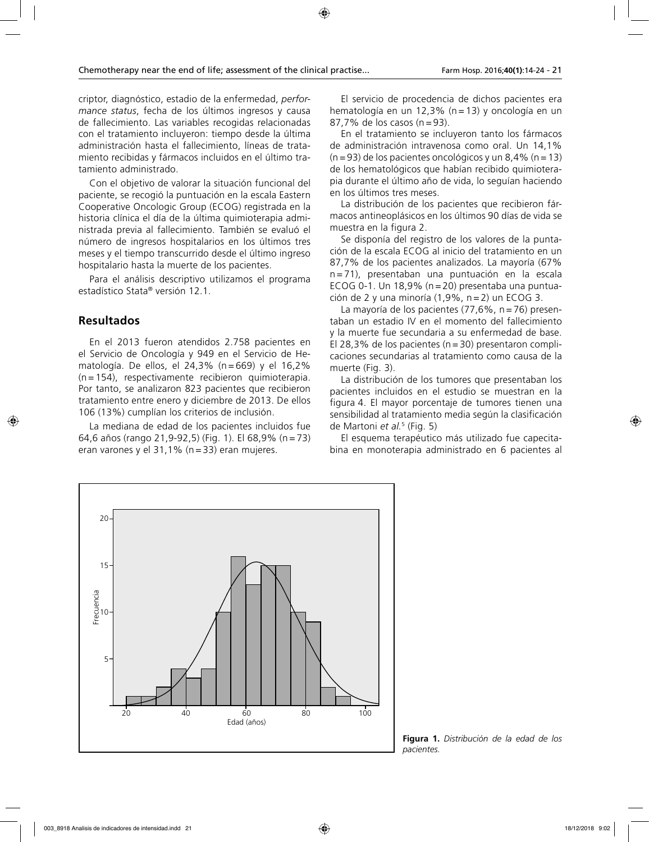criptor, diagnóstico, estadio de la enfermedad, *performance status*, fecha de los últimos ingresos y causa de fallecimiento. Las variables recogidas relacionadas con el tratamiento incluyeron: tiempo desde la última administración hasta el fallecimiento, líneas de tratamiento recibidas y fármacos incluidos en el último tratamiento administrado.

Con el objetivo de valorar la situación funcional del paciente, se recogió la puntuación en la escala Eastern Cooperative Oncologic Group (ECOG) registrada en la historia clínica el día de la última quimioterapia administrada previa al fallecimiento. También se evaluó el número de ingresos hospitalarios en los últimos tres meses y el tiempo transcurrido desde el último ingreso hospitalario hasta la muerte de los pacientes.

Para el análisis descriptivo utilizamos el programa estadístico Stata® versión 12.1.

# **Resultados**

En el 2013 fueron atendidos 2.758 pacientes en el Servicio de Oncología y 949 en el Servicio de Hematología. De ellos, el 24,3% (n = 669) y el 16,2% (n = 154), respectivamente recibieron quimioterapia. Por tanto, se analizaron 823 pacientes que recibieron tratamiento entre enero y diciembre de 2013. De ellos 106 (13%) cumplían los criterios de inclusión.

La mediana de edad de los pacientes incluidos fue 64,6 años (rango 21,9-92,5) (Fig. 1). El 68,9% (n = 73) eran varones y el 31,1% (n = 33) eran mujeres.

El servicio de procedencia de dichos pacientes era hematología en un 12,3% (n = 13) y oncología en un 87,7% de los casos (n = 93).

En el tratamiento se incluyeron tanto los fármacos de administración intravenosa como oral. Un 14,1%  $(n = 93)$  de los pacientes oncológicos y un 8,4%  $(n = 13)$ de los hematológicos que habían recibido quimioterapia durante el último año de vida, lo seguían haciendo en los últimos tres meses.

La distribución de los pacientes que recibieron fármacos antineoplásicos en los últimos 90 días de vida se muestra en la figura 2.

Se disponía del registro de los valores de la puntación de la escala ECOG al inicio del tratamiento en un 87,7% de los pacientes analizados. La mayoría (67% n = 71), presentaban una puntuación en la escala ECOG 0-1. Un 18,9% ( $n = 20$ ) presentaba una puntuación de 2 y una minoría  $(1,9\% , n = 2)$  un ECOG 3.

La mayoría de los pacientes (77,6%, n = 76) presentaban un estadio IV en el momento del fallecimiento y la muerte fue secundaria a su enfermedad de base. El 28,3% de los pacientes ( $n = 30$ ) presentaron complicaciones secundarias al tratamiento como causa de la muerte (Fig. 3).

La distribución de los tumores que presentaban los pacientes incluidos en el estudio se muestran en la figura 4. El mayor porcentaje de tumores tienen una sensibilidad al tratamiento media según la clasificación de Martoni *et al.*<sup>5</sup> (Fig. 5)

El esquema terapéutico más utilizado fue capecitabina en monoterapia administrado en 6 pacientes al



**Figura 1.** *Distribución de la edad de los pacientes.*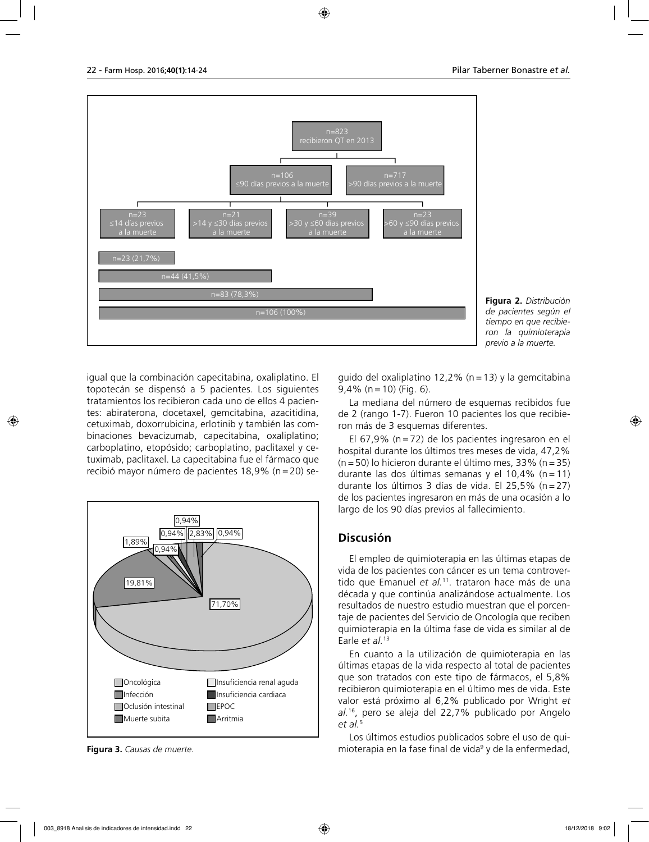



igual que la combinación capecitabina, oxaliplatino. El topotecán se dispensó a 5 pacientes. Los siguientes tratamientos los recibieron cada uno de ellos 4 pacientes: abiraterona, docetaxel, gemcitabina, azacitidina, cetuximab, doxorrubicina, erlotinib y también las combinaciones bevacizumab, capecitabina, oxaliplatino; carboplatino, etopósido; carboplatino, paclitaxel y cetuximab, paclitaxel. La capecitabina fue el fármaco que recibió mayor número de pacientes 18,9% (n = 20) se-



**Figura 3.** *Causas de muerte.*

guido del oxaliplatino 12,2% (n = 13) y la gemcitabina  $9,4\%$  (n = 10) (Fig. 6).

La mediana del número de esquemas recibidos fue de 2 (rango 1-7). Fueron 10 pacientes los que recibieron más de 3 esquemas diferentes.

El 67,9% ( $n = 72$ ) de los pacientes ingresaron en el hospital durante los últimos tres meses de vida, 47,2%  $(n = 50)$  lo hicieron durante el último mes, 33% (n = 35) durante las dos últimas semanas y el 10,4% (n = 11) durante los últimos 3 días de vida. El 25,5% (n=27) de los pacientes ingresaron en más de una ocasión a lo largo de los 90 días previos al fallecimiento.

# **Discusión**

El empleo de quimioterapia en las últimas etapas de vida de los pacientes con cáncer es un tema controvertido que Emanuel *et al.*11. trataron hace más de una década y que continúa analizándose actualmente. Los resultados de nuestro estudio muestran que el porcentaje de pacientes del Servicio de Oncología que reciben quimioterapia en la última fase de vida es similar al de Earle *et al.*<sup>13</sup>

En cuanto a la utilización de quimioterapia en las últimas etapas de la vida respecto al total de pacientes que son tratados con este tipo de fármacos, el 5,8% recibieron quimioterapia en el último mes de vida. Este valor está próximo al 6,2% publicado por Wright *et al.*16, pero se aleja del 22,7% publicado por Angelo *et al.*<sup>5</sup>

Los últimos estudios publicados sobre el uso de quimioterapia en la fase final de vida<sup>9</sup> y de la enfermedad,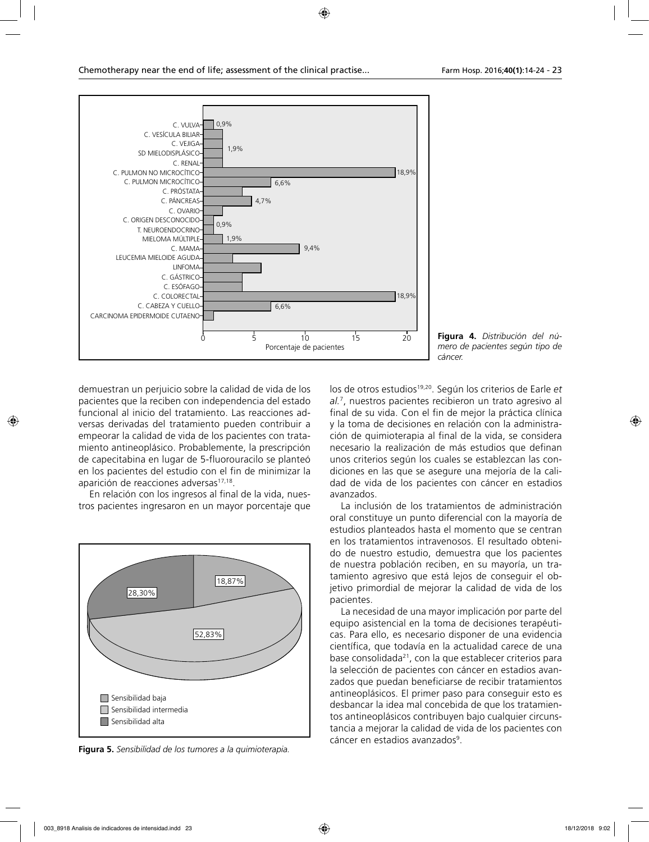

15 20 **Figura 4.** *Distribución del número de pacientes según tipo de cáncer.*

demuestran un perjuicio sobre la calidad de vida de los pacientes que la reciben con independencia del estado funcional al inicio del tratamiento. Las reacciones adversas derivadas del tratamiento pueden contribuir a empeorar la calidad de vida de los pacientes con tratamiento antineoplásico. Probablemente, la prescripción de capecitabina en lugar de 5-fluorouracilo se planteó en los pacientes del estudio con el fin de minimizar la aparición de reacciones adversas<sup>17,18</sup>.

En relación con los ingresos al final de la vida, nuestros pacientes ingresaron en un mayor porcentaje que



**Figura 5.** *Sensibilidad de los tumores a la quimioterapia.*

los de otros estudios<sup>19,20</sup>. Según los criterios de Earle et *al.*<sup>7</sup> , nuestros pacientes recibieron un trato agresivo al final de su vida. Con el fin de mejor la práctica clínica y la toma de decisiones en relación con la administración de quimioterapia al final de la vida, se considera necesario la realización de más estudios que definan unos criterios según los cuales se establezcan las condiciones en las que se asegure una mejoría de la calidad de vida de los pacientes con cáncer en estadios avanzados.

La inclusión de los tratamientos de administración oral constituye un punto diferencial con la mayoría de estudios planteados hasta el momento que se centran en los tratamientos intravenosos. El resultado obtenido de nuestro estudio, demuestra que los pacientes de nuestra población reciben, en su mayoría, un tratamiento agresivo que está lejos de conseguir el objetivo primordial de mejorar la calidad de vida de los pacientes.

La necesidad de una mayor implicación por parte del equipo asistencial en la toma de decisiones terapéuticas. Para ello, es necesario disponer de una evidencia científica, que todavía en la actualidad carece de una base consolidada<sup>21</sup>, con la que establecer criterios para la selección de pacientes con cáncer en estadios avanzados que puedan beneficiarse de recibir tratamientos antineoplásicos. El primer paso para conseguir esto es desbancar la idea mal concebida de que los tratamientos antineoplásicos contribuyen bajo cualquier circunstancia a mejorar la calidad de vida de los pacientes con cáncer en estadios avanzados<sup>9</sup>.